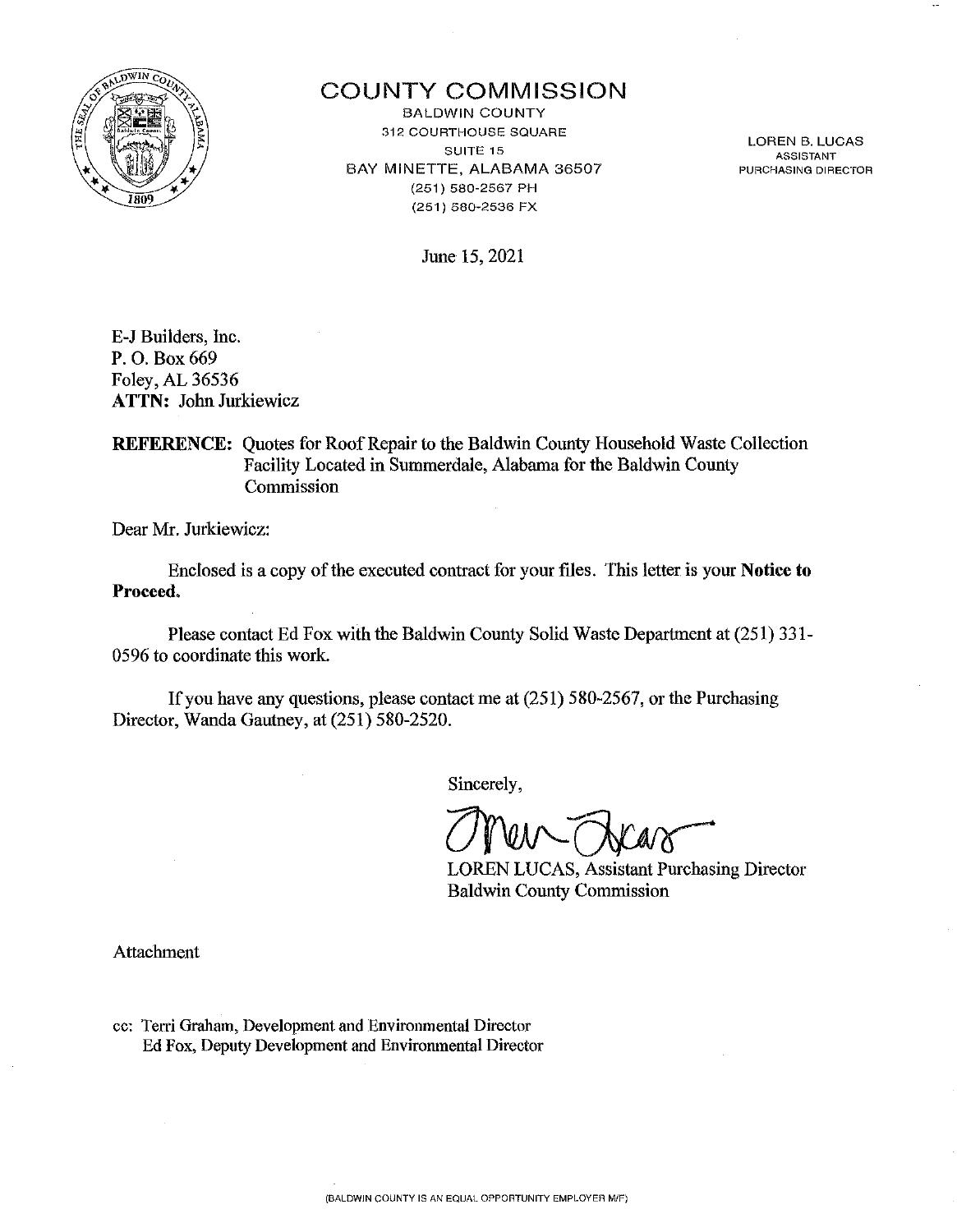

# COUNTY COMMISSION

BALDWIN COUNTY 312 COURTHOUSE SQUARE SUITE 15 BAY MINETTE, ALABAMA 36507 (251) *580-256"1* PH (251) 580-2536 FX

LOREN B. LUCAS ASSISTANT PURCHASING DIRECTOR

June 15, 2021

E-J Builders, Inc, P. 0. Box669 Foley, AL 36536 ATTN: John Jurkiewicz

REFERENCE: Quotes for Roof Repair to the Baldwin County Household Waste Collection Facility Located in Summerdale, Alabama for the Baldwin County Commission

Dear Mr. Jurkiewicz:

Enclosed is a copy of the executed contract for your files. This letter is your Notice to Proceed.

Please contact Ed Fox with the Baldwin County Solid Waste Department at (251) 331- 0596 to coordinate this work.

If you have any questions, please contact me at (251) 580-2567, or the Purchasing Director, Wanda Gautney, at (251) 580-2520.

Sincerely,

~~ LOREN LUCAS, Assistant Purchasing Director

Baldwin County Commission

Attachment

cc: Terri Graham, Development and Environmental Director Ed Fox, Deputy Development and Environmental Director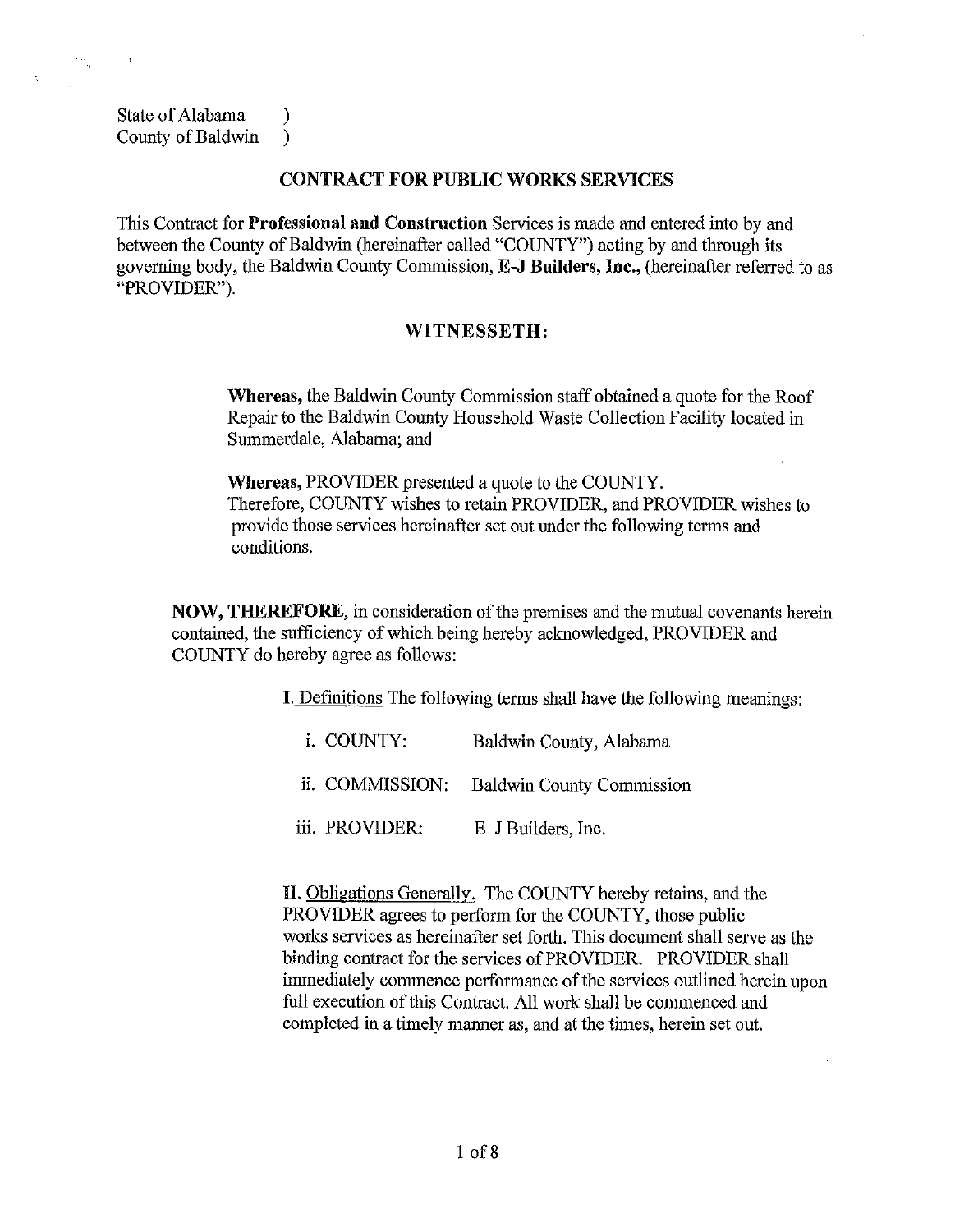State of Alabama ) County of Baldwin )

 $\rightarrow$ 

### **CONTRACT FOR PUBLIC WORKS SERVICES**

This Contract for **Professional and Construction** Services is made and entered into by and between the County of Baldwin (hereinafter called "COUNTY") acting by and through its governing body, the Baldwin County Commission, **E-J Builders, Inc.,** (hereinafter referred to as "PROVIDER'').

### **WITNESSETH:**

**Whereas,** the Baldwin County Commission staff obtained a quote for the Roof Repair to the Baldwin County Household Waste Collection Facility located in Summerdale, Alabama; and

**Whereas,** PROVIDER presented a quote to the COUNTY. Therefore, COUNTY wishes to retain PROVIDER, and PROVIDER wishes to provide those services hereinafter set out under the following terms and conditions.

**NOW, THEREFORE,** in consideration of the premises and the mutual covenants herein contained, the sufficiency of which being hereby acknowledged, PROVIDER and COUNTY do hereby agree as follows:

I. Definitions The following terms shall have the following meanings:

i. COUNTY: Baldwin County, Alabama ii. COMMISSION: Baldwin County Commission iii. PROVIDER: E-J Builders, Inc.

**II.** Obligations Generally. The COUNTY hereby retains, and the PROVIDER agrees to perform for the COUNTY, those public works services as hereinafter set forth. This document shall serve as the binding contract for the services of PROVIDER. PROVIDER shall immediately commence performance of the services outlined herein upon full execution of this Contract. All work shall be commenced and completed in a timely manner as, and at the times, herein set out.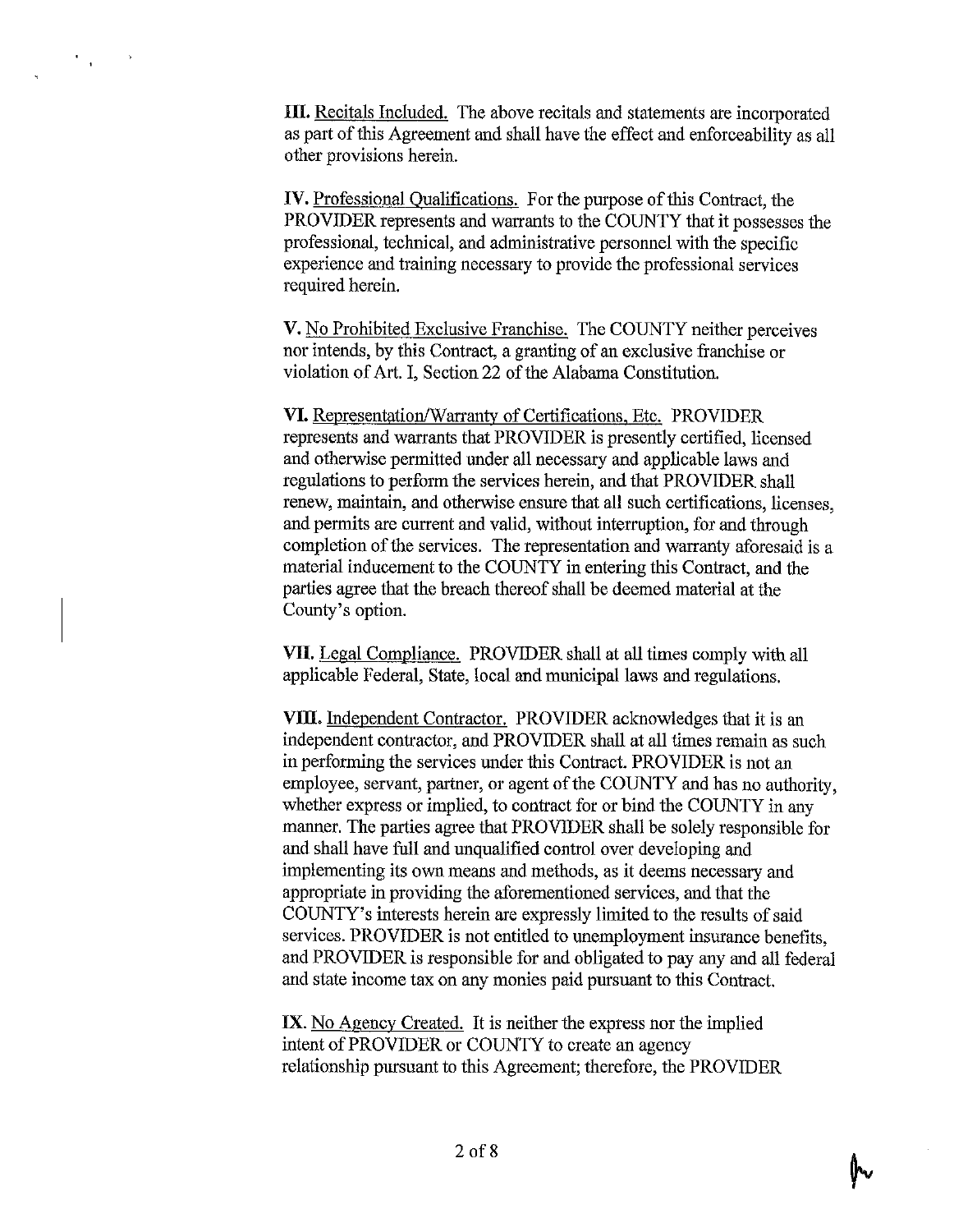III. Recitals Included. The above recitals and statements are incorporated as part of this Agreement and shall have the effect and enforceability as all other provisions herein.

 $\mathcal{F}_{\mathcal{A}}$ 

**IV.** Professional Qualifications. For the purpose of this Contract, the PROVIDER represents and warrants to the COUNTY that it possesses the professional, technical, and administrative personnel with the specific experience and training necessary to provide the professional services required herein.

V. No Prohibited Exclusive Franchise. The COUNTY neither perceives nor intends, by this Contract, a granting of an exclusive franchise or violation of Art. I, Section 22 of the Alabama Constitution.

**VI.** Representation/Warrantv of Certifications, Etc. PROVIDER represents and warrants that PROVIDER is presently certified, licensed and otherwise permitted under all necessary and applicable laws and regulations to perform the services herein, and that PROVIDER shall renew, maintain, and otherwise ensure that all such certifications, licenses, and permits are current and valid, without interruption, for and through completion of the services. The representation and warranty aforesaid is a material inducement to the COUNTY in entering this Contract, and the parties agree that the breach thereof shall be deemed material at the County's option.

**VII.** Legal Compliance. PROVIDER shall at all times comply with all applicable Federal, State, local and municipal laws and regulations.

**VIII.** Independent Contractor. PROVIDER acknowledges that it is an independent contractor, and PROVIDER shall at all times remain as such in performing the services under this Contract. PROVIDER is not an employee, servant, partner, or agent of the COUNTY and has no authority, whether express or implied, to contract for or bind the COUNTY in any manner. The parties agree that PROVIDER shall be solely responsible for and shall have full and unqualified control over developing and implementing its own means and methods, as it deems necessary and appropriate in providing the aforementioned services, and that the COUNTY's interests herein are expressly limited to the results of said services. PROVIDER is not entitled to unemployment insurance benefits, and PROVIDER is responsible for and obligated to pay any and all federal and state income tax on any monies paid pursuant to this Contract.

IX. No Agency Created. It is neither the express nor the implied intent of PROVIDER or COUNTY to create an agency relationship pursuant to this Agreement; therefore, the PROVIDER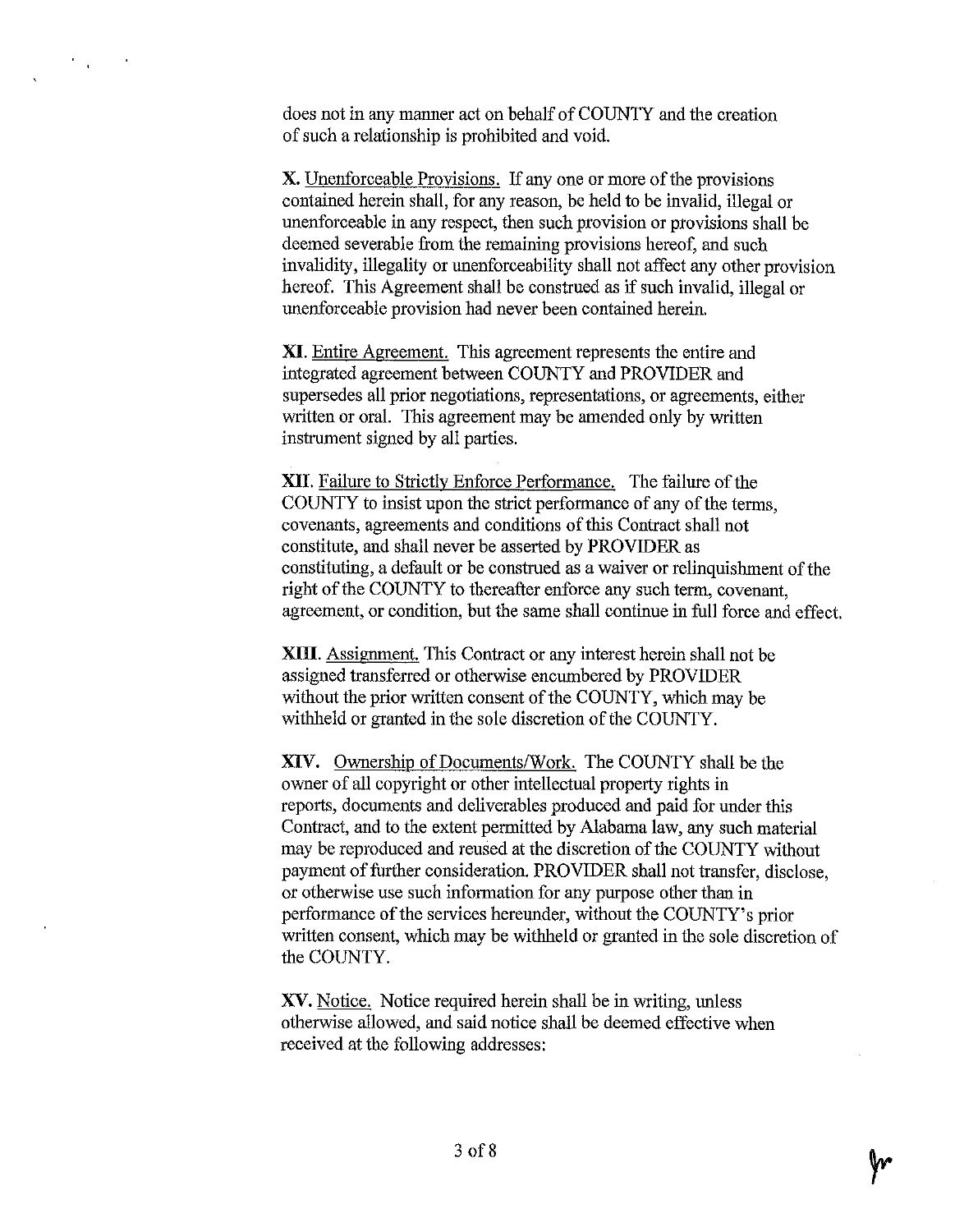does not in any manner act on behalf of COUNTY and the creation of such a relationship is prohibited and void.

 $\mathcal{L}_{\mathbf{r}}$ 

 $\mathcal{F}_{\mathcal{A}^{\text{out}}}$ 

X. Unenforceable Provisions. If any one or more of the provisions contained herein shall, for any reason, be held to be invalid, illegal or unenforceable in any respect, then such provision or provisions shall be deemed severable from the remaining provisions hereof, and such invalidity, illegality or unenforceability shall not affect any other provision hereof. This Agreement shall be construed as if such invalid, illegal or unenforceable provision had never been contained herein.

**XI.** Entire Agreement. This agreement represents the entire and integrated agreement between COUNTY and PROVIDER and supersedes all prior negotiations, representations, or agreements, either written or oral. This agreement may be amended only by written instrument signed by all parties.

**XII.** Failure to Strictly Enforce Performance. The failure of the COUNTY to insist upon the strict performance of any of the terms, covenants, agreements and conditions of this Contract shall not constitute, and shall never be asserted by PROVIDER as constituting, a default or be construed as a waiver or relinquishment of the right of the COUNTY to thereafter enforce any such term, covenant, agreement, or condition, but the same shall continue in full force and effect.

**XIII.** Assigmnent. This Contract or any interest herein shall not be assigned transferred or otherwise encumbered by PROVIDER without the prior written consent of the COUNTY, which may be withheld or granted in the sole discretion of the COUNTY.

**XIV.** Ownership of Documents/Work. The COUNTY shall be the owner of all copyright or other intellectual property rights in reports, documents and deliverables produced and paid for under this Contract, and to the extent permitted by Alabama law, any such material may be reproduced and reused at the discretion of the COUNTY without payment of further consideration. PROVIDER shall not transfer, disclose, or otherwise use such information for any purpose other than in performance of the services hereunder, without the COUNTY's prior written consent, which may be withheld or granted in the sole discretion of the COUNTY.

**XV.** Notice. Notice required herein shall be in writing, unless otherwise allowed, and said notice shall be deemed effective when received at the following addresses: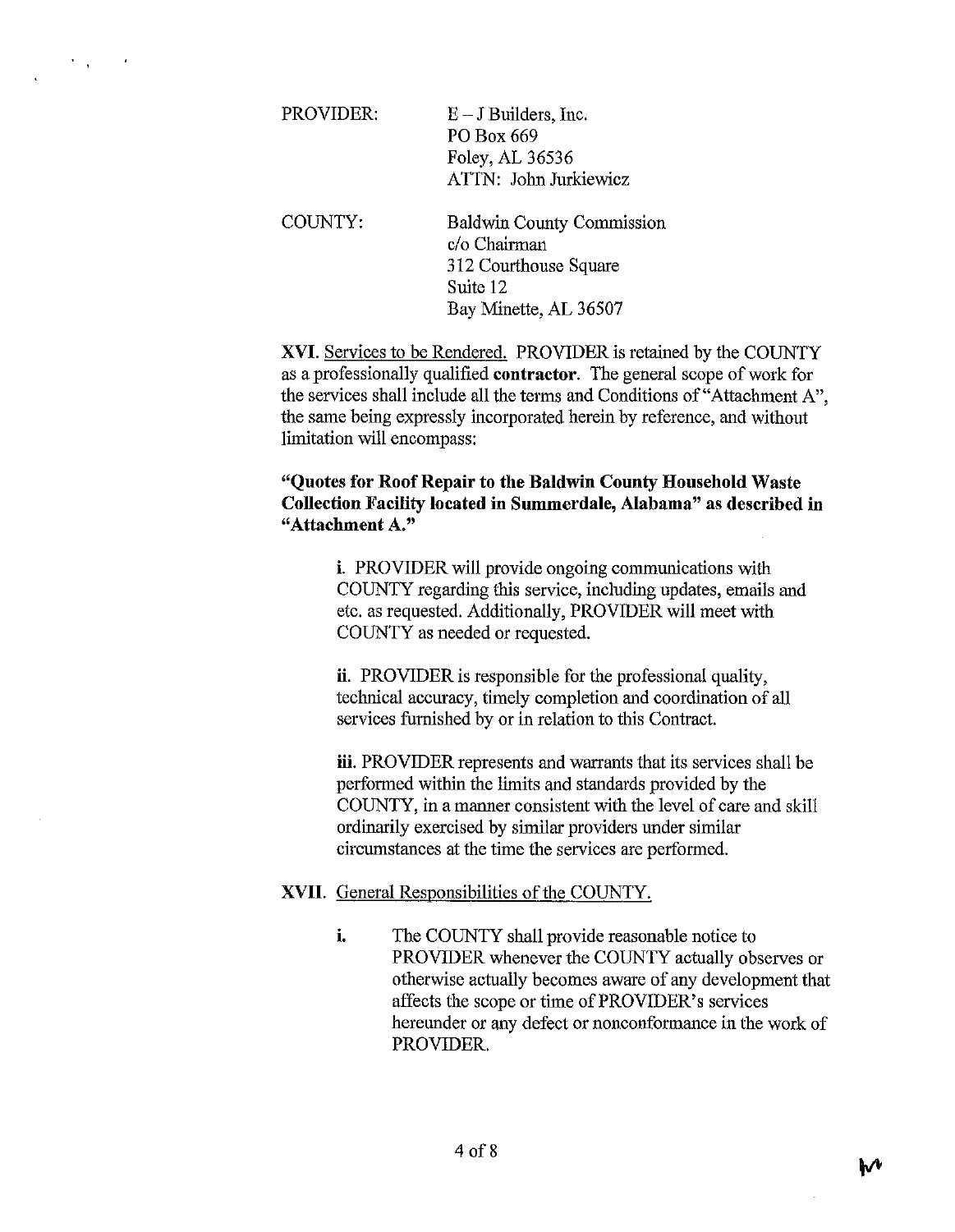PROVIDER: COUNTY:  $E - J$  Builders, Inc. PO Box 669 Foley, AL 36536 ATTN: John Jurkiewicz Baldwin County Commission c/o Chairman 312 Courthouse Square Suite 12 Bay Minette, AL 36507

 $\mathcal{F}_{\mathcal{A}}$  .

**XVI.** Services to be Rendered. PROVIDER is retained by the COUNTY as a professionally qualified **contractor.** The general scope of work for the services shall include all the terms and Conditions of"Attachment A", the same being expressly incorporated herein by reference, and without limitation will encompass:

# **"Quotes for Roof Repair to the Baldwin County Household Waste Collection Facility located in Summerdale, Alabama" as described in "Attachment A."**

**i.** PROVIDER will provide ongoing communications with COUNTY regarding this service, including updates, emails and etc. as requested. Additionally, PROVIDER will meet with COUNTY as needed or requested.

**ii.** PROVIDER is responsible for the professional quality, technical accuracy, timely completion and coordination of all services furnished by or in relation to this Contract.

**iii.** PROVIDER represents and warrants that its services shall be performed within the limits and standards provided by the COUNTY, in a manner consistent with the level of care and skill ordinarily exercised by similar providers under similar circumstances at the time the services are performed.

# **XVII.** General Responsibilities of the COUNTY.

**i.** The COUNTY shall provide reasonable notice to PROVIDER whenever the COUNTY actually observes or otherwise actually becomes aware of any development that affects the scope or time of PROVIDER's services hereunder or any defect or nonconformance in the work of PROVIDER.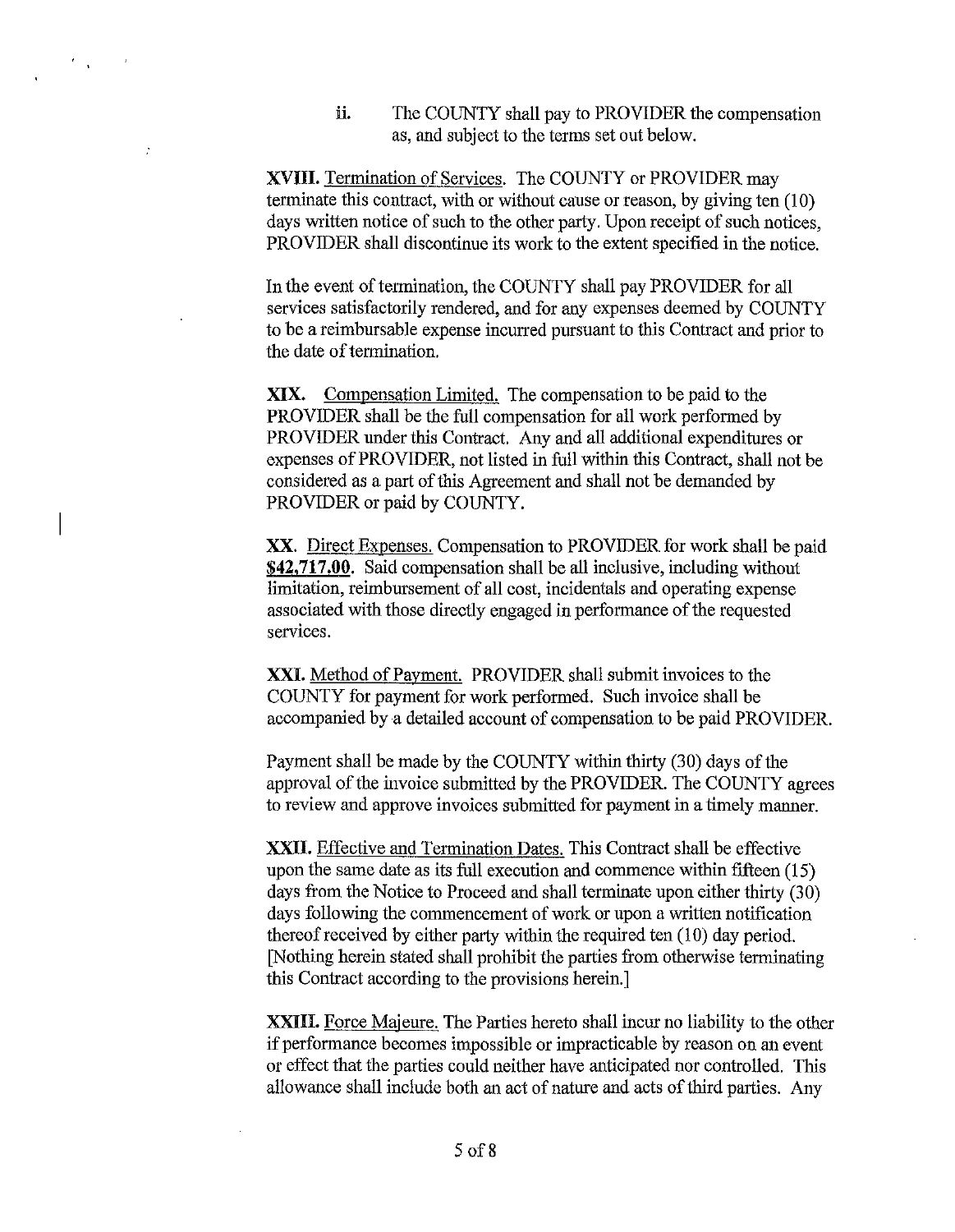ii. The COUNTY shall pay to PROVIDER the compensation as, and subject to the terms set out below.

**XVIII.** Termination of Services. The COUNTY or PROVIDER may terminate this contract, with or without cause or reason, by giving ten (10) days written notice of such to the other party. Upon receipt of such notices, PROVIDER shall discontinue its work to the extent specified in the notice.

 $\epsilon_{\rm max}$ 

 $\cdot$ 

In the event of termination, the COUNTY shall pay PROVIDER for all services satisfactorily rendered, and for any expenses deemed by COUNTY to be a reimbursable expense incurred pursuant to this Contract and prior to the date of termination.

**XIX.** Compensation Limited. The compensation to be paid to the PROVIDER shall be the full compensation for all work performed by PROVIDER under this Contract. Any and all additional expenditures or expenses of PROVIDER, not listed in full within this Contract, shall not be considered as a part of this Agreement and shall not be demanded by PROVIDER or paid by COUNTY.

**XX.** Direct Expenses. Compensation to PROVIDER for work shall be paid **\$42,717.00.** Said compensation shall be all inclusive, including without limitation, reimbursement of all cost, incidentals and operating expense associated with those directly engaged in performance of the requested services.

**XXI.** Method of Payment. PROVIDER shall submit invoices to the COUNTY for payment for work performed. Such invoice shall be accompanied by a detailed account of compensation to be paid PROVIDER.

Payment shall be made by the COUNTY within thirty (30) days of the approval of the invoice submitted by the PROVIDER. The COUNTY agrees to review and approve invoices submitted for payment in a timely manner.

XXII. Effective and Termination Dates. This Contract shall be effective upon the same date as its full execution and commence within fifteen (15) days from the Notice to Proceed and shall terminate upon either thirty (30) days following the commencement of work or upon a written notification thereof received by either party within the required ten (10) day period. [Nothing herein stated shall prohibit the parties from otherwise terminating this Contract according to the provisions herein.]

XXIII. Force Majeure. The Parties hereto shall incur no liability to the other if performance becomes impossible or impracticable by reason on an event or effect that the parties could neither have anticipated nor controlled. This allowance shall include both an act of nature and acts of third parties. Any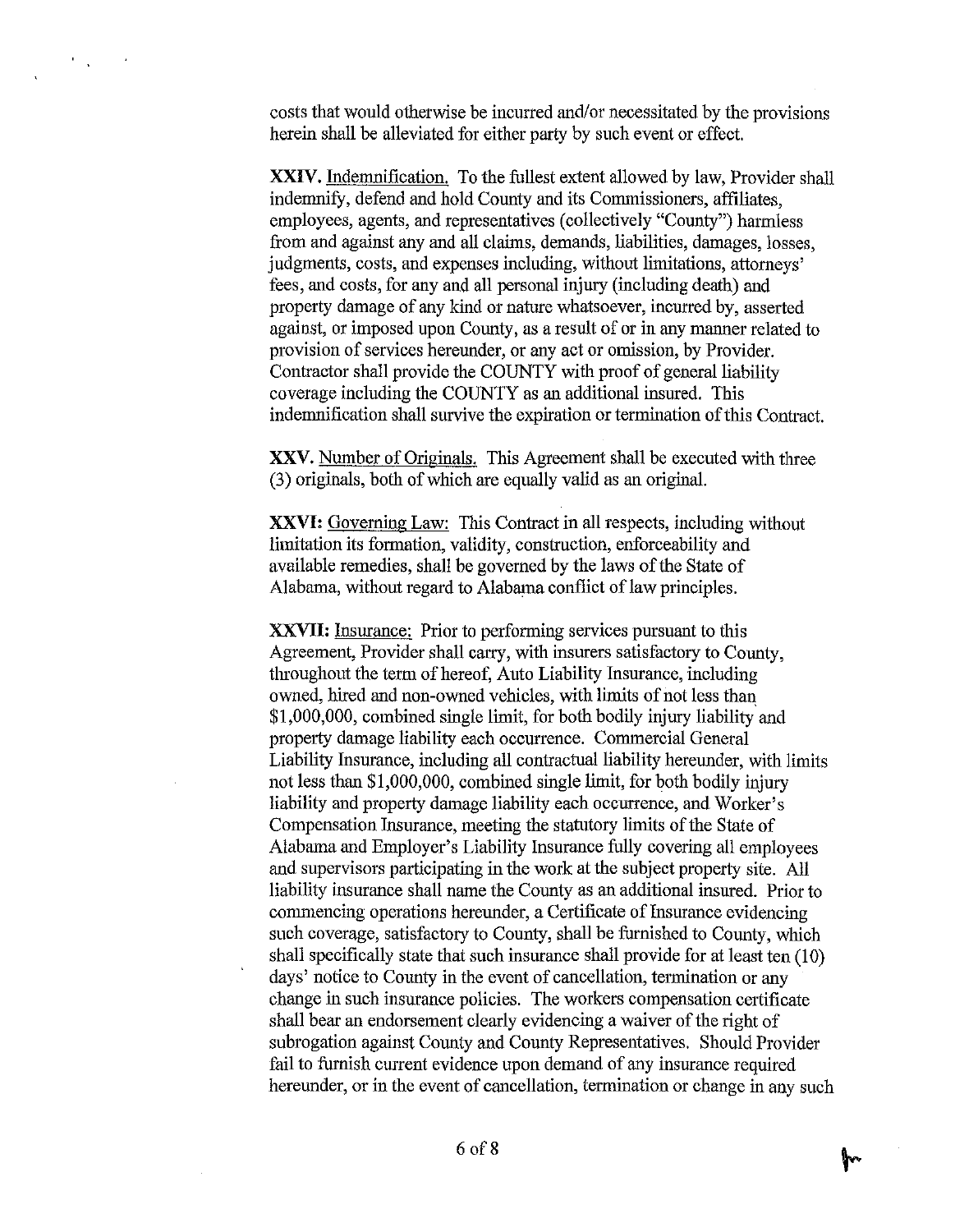costs that would otherwise be incurred and/or necessitated by the provisions herein shall be alleviated for either party by such event or effect.

 $\mathcal{F}_{\mathcal{A}}$  .

**XXIV.** Indemnification. To the fullest extent allowed by law, Provider shall indemnify, defend and hold County and its Commissioners, affiliates, employees, agents, and representatives (collectively "County") harmless from and against any and all claims, demands, liabilities, damages, losses, judgments, costs, and expenses including, without limitations, attorneys' fees, and costs, for any and all personal injury (including death) and property damage of any kind or nature whatsoever, incurred by, asserted against, or imposed upon County, as a result of or in any manner related to provision of services hereunder, or any act or omission, by Provider. Contractor shall provide the COUNTY with proof of general liability coverage including the COUNTY as an additional insured. This indemnification shall survive the expiration or termination of this Contract.

XXV. Number of Originals. This Agreement shall be executed with three (3) originals, both of which are equally valid as an original.

**XXVI:** Governing Law: This Contract in all respects, including without limitation its formation, validity, construction, enforceability and available remedies, shall be governed by the laws of the State of Alabama, without regard to Alabama conflict of law principles.

**XXVII:** Insurance: Prior to performing services pursuant to this Agreement, Provider shall carry, with insurers satisfactory to County, throughout the term of hereof, Auto Liability Insurance, including owned, hired and non-owned vehicles, with limits of not less than \$1,000,000, combined single limit, for both bodily injury liability and property damage liability each occurrence. Commercial General Liability Insurance, including all contractual liability hereunder, with limits not less than \$1,000,000, combined single limit, for both bodily injury liability and property damage liability each occurrence, and Worker's Compensation Insurance, meeting the statutory limits of the State of Alabama and Employer's Liability Insurance fully covering all employees and supervisors participating in the work at the subject property site. All liability insurance shall name the County as an additional insured. Prior to commencing operations hereunder, a Certificate of Insurance evidencing such coverage, satisfactory to County, shall be furnished to County, which shall specifically state that such insurance shall provide for at least ten (10) days' notice to County in the event of cancellation, termination or any change in such insurance policies. The workers compensation certificate shall bear an endorsement clearly evidencing a waiver of the right of subrogation against County and County Representatives. Should Provider fail to furnish current evidence upon demand of any insurance required hereunder, or in the event of cancellation, termination or change in any such

р∼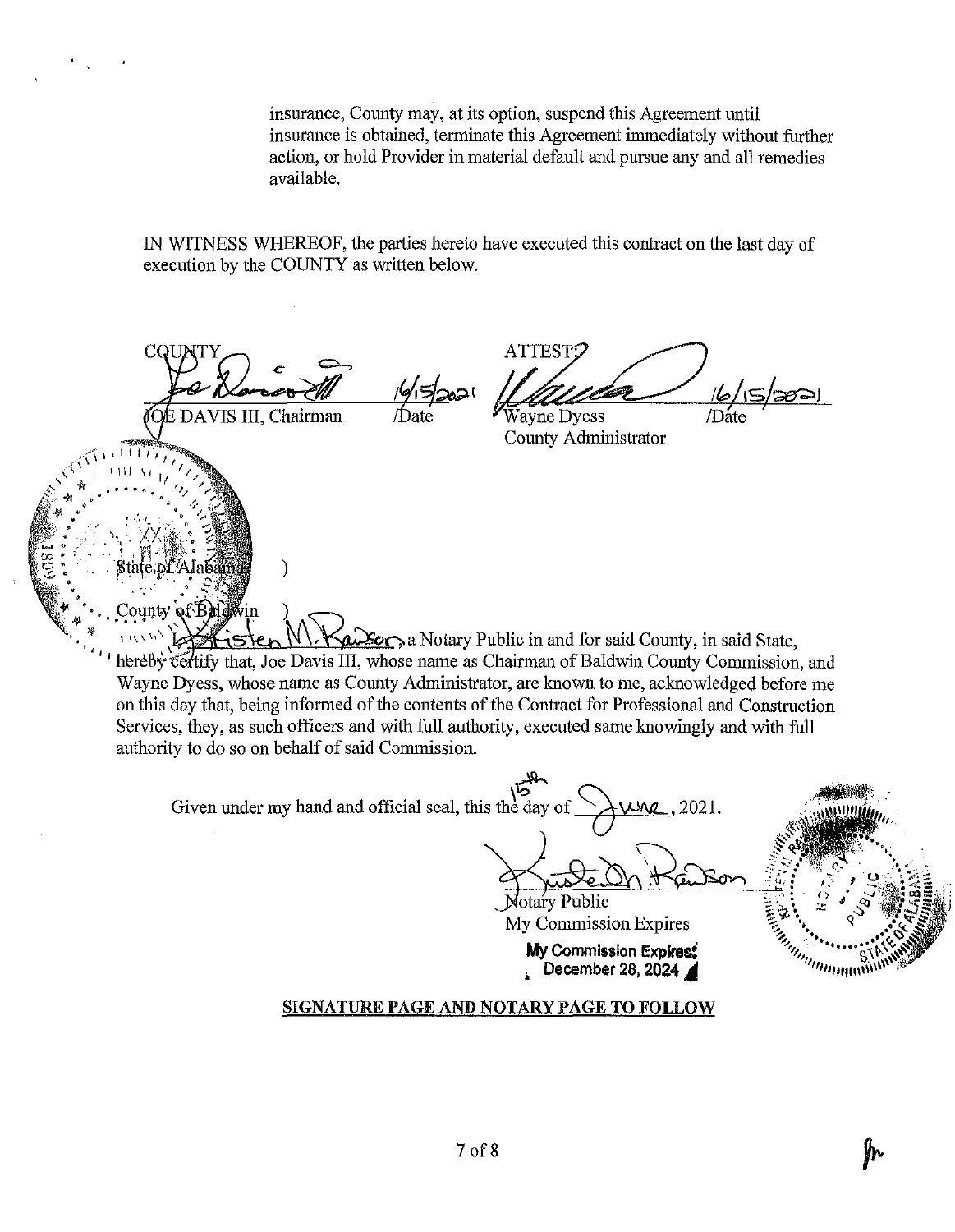insurance, County may, at its option, suspend this Agreement tmtil insurance is obtained, terminate this Agreement immediately without further action, or hold Provider in material default and pursue any and all remedies available.

IN WITNESS WHEREOF, the parties hereto have executed this contract on the last day of execution by the COUNTY as written below.

 $\frac{y}{\sqrt{5}}$ <br> $\frac{z}{\sqrt{15}}$   $\frac{y}{5}$   $\frac{z}{5}$ COU  $\bigcap$  $c:$   $\Omega$ :

)

'•',

County of Baldwin

state of Alaban

 $\frac{16}{5}$   $\frac{30}{30}$ <br>Navne Dyess Date A~

County Administrator

 $\omega$ So $\sim$ a Notary Public in and for said County, in said State, hereby certify that, Joe Davis III, whose name as Chairman of Baldwin County Commission, and Wayne Dyess, whose name as County Administrator, are known to me, acknowledged before me on this day that, being informed of the contents of the Contract for Professional and Construction Services, they, as such officers and with full authority, executed same knowingly and with full authority to do so on behalf of said Commission.

*r:!'"'*  Given under my hand and official seal, this the day of  $\rightarrow \mu_{\text{ML}}$ , 2021.

Notary Public

My Commission Expires

My Commission Expires: December 28, 2024

# **SIGNATURE PAGE AND NOTARY PAGE TO FOLLOW**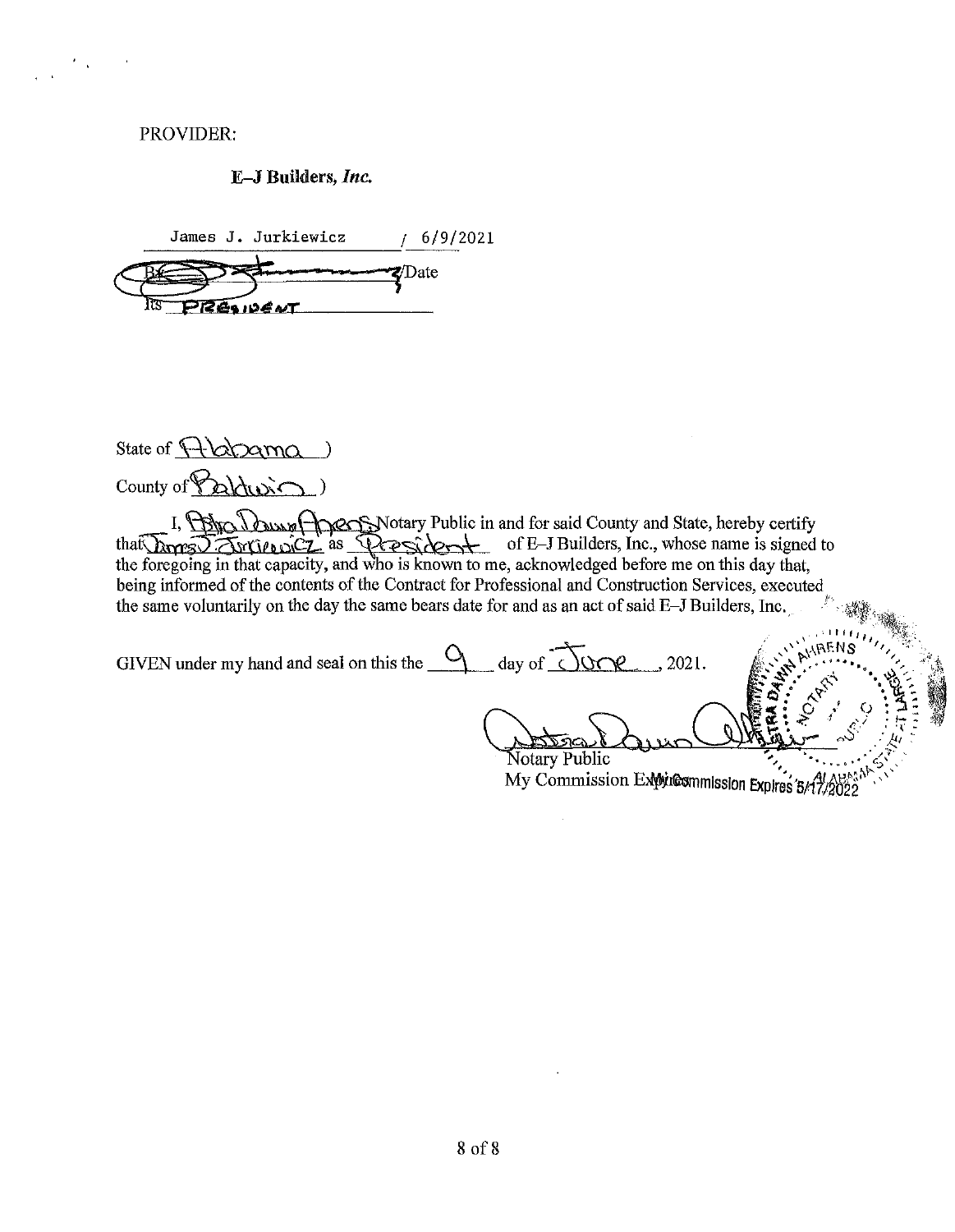#### PROVIDER:

## E-J Builders, *Inc.*

James J. Jurkiewicz / 6/9/2021 'i'Date PRESIDENT Its

State of Abdoma

 $\text{Country of } \text{Paldus} \text{C}$ 

I, **By Loung Apen Notary Public in and for said County and State, hereby certify**  $\text{that}$  $\overline{\text{Im}}\overline{\text{Im}}\overline{\text{Im}}\overline{\text{Im}}\overline{\text{Im}}\overline{\text{Im}}\overline{\text{Im}}\overline{\text{Im}}\overline{\text{Im}}\overline{\text{Im}}\overline{\text{Im}}\overline{\text{Im}}\overline{\text{Im}}\overline{\text{Im}}\overline{\text{Im}}\overline{\text{Im}}\overline{\text{Im}}\overline{\text{Im}}\overline{\text{Im}}\overline{\text{Im}}\overline{\text{Im}}\overline{\text{Im}}\overline{\text{Im}}\overline{\text{Im}}\overline{\text{Im}}\overline{\text{Im}}\overline{\text$ the foregoing in that capacity, and who is known to me, acknowledged before me on this day that, being informed of the contents of the Contract for Professional and Construction Services, executed the same voluntarily on the day the same bears date for and as an act of said  $E-J$  Builders, Inc.

GIVEN under my hand and seal on this the  $\frac{9}{4}$  day of  $\overline{\bigcup_{Q\cap P}}$ , 2021.

~ ' **ct** \"!: ! • *<sup>&</sup>lt;'\_;* . *-1* <sup>&</sup>lt; International Common Strategy otary Public ',, · .•..... *.",;t.* · Notaly Public<br>My Commission Explicanmission Explices 5/17/2022

, . . In  $\mathcal{F}_1$  ,  $\mathcal{F}_2$ '. **,''\-\\"';\f.:NS** 1111 ;~', ', '' **t\.'** ,, •"' ' ·'-'' -' **r·** ., , , . • • ,. -i'  $\mathbb{R}^{\bullet}$  ,  $\mathbb{R}^{\bullet}$  ,  $\mathbb{R}^{\bullet}$  ,  $\mathbb{R}^{\bullet}$  ,  $\mathbb{R}^{\bullet}$  $\mathbf{S}^{\mathbf{A}}_{\mathbf{5}:} \mathcal{L}^{\mathbf{6}}$  ,  $\mathcal{L}^{\mathbf{6}}_{\mathbf{6}:} \mathcal{L}^{\mathbf{6}}_{\mathbf{7}:}$ 

 $\mathcal{E}^{\mathcal{L}}$  $\mathbf{r}_i$  ,  $\mathbf{r}_i$  and  $\mathbf{r}_i$ • •

 $\mathbb{R}$